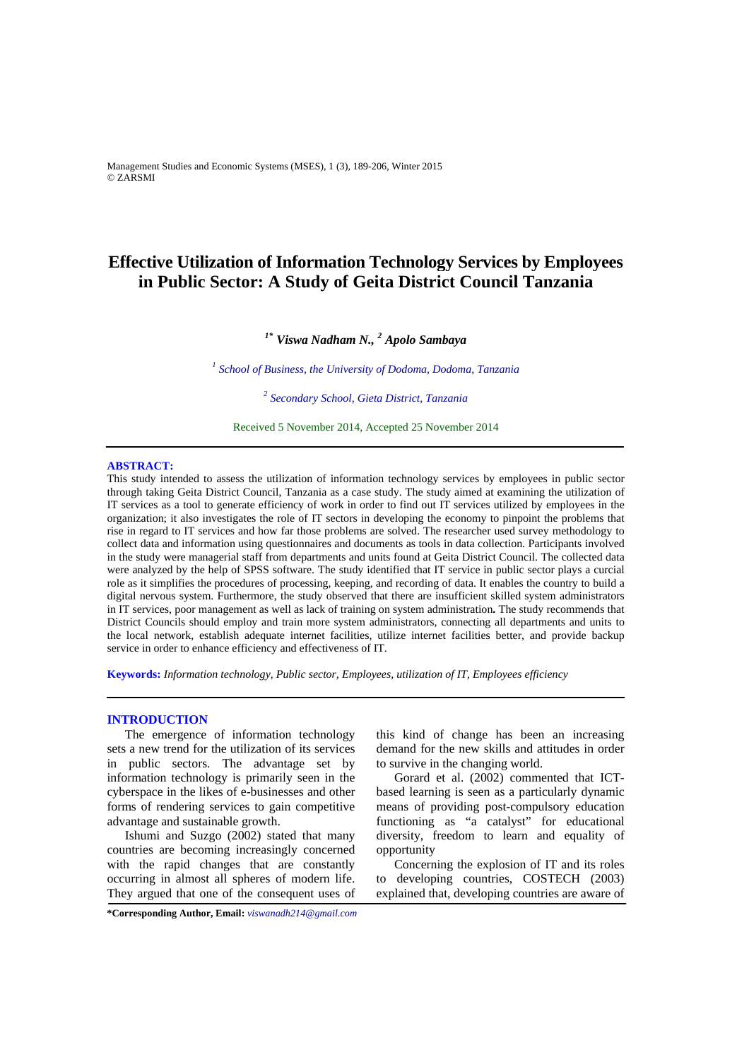Management Studies and Economic Systems (MSES), 1 (3), 189-206, Winter 2015 © ZARSMI

# **Effective Utilization of Information Technology Services by Employees in Public Sector: A Study of Geita District Council Tanzania**

# *1\* Viswa Nadham N., <sup>2</sup> Apolo Sambaya*

<sup>1</sup> School of Business, the University of Dodoma, Dodoma, Tanzania

*2 Secondary School, Gieta District, Tanzania*

Received 5 November 2014, Accepted 25 November 2014 

# **ABSTRACT:**

This study intended to assess the utilization of information technology services by employees in public sector through taking Geita District Council, Tanzania as a case study. The study aimed at examining the utilization of IT services as a tool to generate efficiency of work in order to find out IT services utilized by employees in the organization; it also investigates the role of IT sectors in developing the economy to pinpoint the problems that rise in regard to IT services and how far those problems are solved. The researcher used survey methodology to collect data and information using questionnaires and documents as tools in data collection. Participants involved in the study were managerial staff from departments and units found at Geita District Council. The collected data were analyzed by the help of SPSS software. The study identified that IT service in public sector plays a curcial role as it simplifies the procedures of processing, keeping, and recording of data. It enables the country to build a digital nervous system. Furthermore, the study observed that there are insufficient skilled system administrators in IT services, poor management as well as lack of training on system administration**.** The study recommends that District Councils should employ and train more system administrators, connecting all departments and units to the local network, establish adequate internet facilities, utilize internet facilities better, and provide backup service in order to enhance efficiency and effectiveness of IT.

**Keywords:** *Information technology, Public sector, Employees, utilization of IT, Employees efficiency*

# **INTRODUCTION**

The emergence of information technology sets a new trend for the utilization of its services in public sectors. The advantage set by information technology is primarily seen in the cyberspace in the likes of e-businesses and other forms of rendering services to gain competitive advantage and sustainable growth.

Ishumi and Suzgo (2002) stated that many countries are becoming increasingly concerned with the rapid changes that are constantly occurring in almost all spheres of modern life. They argued that one of the consequent uses of this kind of change has been an increasing demand for the new skills and attitudes in order to survive in the changing world.

Gorard et al. (2002) commented that ICTbased learning is seen as a particularly dynamic means of providing post-compulsory education functioning as "a catalyst" for educational diversity, freedom to learn and equality of opportunity

Concerning the explosion of IT and its roles to developing countries, COSTECH (2003) explained that, developing countries are aware of

**\*Corresponding Author, Email:** *viswanadh214@gmail.com*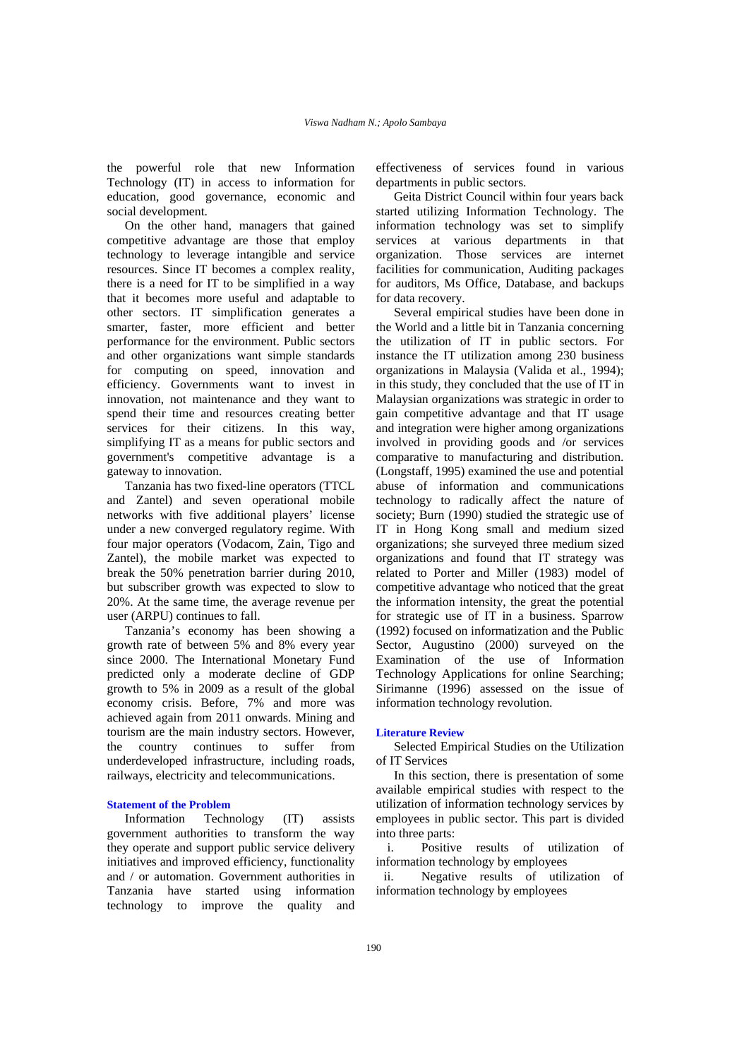the powerful role that new Information Technology (IT) in access to information for education, good governance, economic and social development.

On the other hand, managers that gained competitive advantage are those that employ technology to leverage intangible and service resources. Since IT becomes a complex reality, there is a need for IT to be simplified in a way that it becomes more useful and adaptable to other sectors. IT simplification generates a smarter, faster, more efficient and better performance for the environment. Public sectors and other organizations want simple standards for computing on speed, innovation and efficiency. Governments want to invest in innovation, not maintenance and they want to spend their time and resources creating better services for their citizens. In this way, simplifying IT as a means for public sectors and government's competitive advantage is a gateway to innovation.

Tanzania has two fixed-line operators (TTCL and Zantel) and seven operational mobile networks with five additional players' license under a new converged regulatory regime. With four major operators (Vodacom, Zain, Tigo and Zantel), the mobile market was expected to break the 50% penetration barrier during 2010, but subscriber growth was expected to slow to 20%. At the same time, the average revenue per user (ARPU) continues to fall.

Tanzania's economy has been showing a growth rate of between 5% and 8% every year since 2000. The International Monetary Fund predicted only a moderate decline of GDP growth to 5% in 2009 as a result of the global economy crisis. Before, 7% and more was achieved again from 2011 onwards. Mining and tourism are the main industry sectors. However, the country continues to suffer from underdeveloped infrastructure, including roads, railways, electricity and telecommunications.

# **Statement of the Problem**

Information Technology (IT) assists government authorities to transform the way they operate and support public service delivery initiatives and improved efficiency, functionality and / or automation. Government authorities in Tanzania have started using information technology to improve the quality and

effectiveness of services found in various departments in public sectors.

Geita District Council within four years back started utilizing Information Technology. The information technology was set to simplify services at various departments in that organization. Those services are internet facilities for communication, Auditing packages for auditors, Ms Office, Database, and backups for data recovery.

Several empirical studies have been done in the World and a little bit in Tanzania concerning the utilization of IT in public sectors. For instance the IT utilization among 230 business organizations in Malaysia (Valida et al., 1994); in this study, they concluded that the use of IT in Malaysian organizations was strategic in order to gain competitive advantage and that IT usage and integration were higher among organizations involved in providing goods and /or services comparative to manufacturing and distribution. (Longstaff, 1995) examined the use and potential abuse of information and communications technology to radically affect the nature of society; Burn (1990) studied the strategic use of IT in Hong Kong small and medium sized organizations; she surveyed three medium sized organizations and found that IT strategy was related to Porter and Miller (1983) model of competitive advantage who noticed that the great the information intensity, the great the potential for strategic use of IT in a business. Sparrow (1992) focused on informatization and the Public Sector, Augustino (2000) surveyed on the Examination of the use of Information Technology Applications for online Searching; Sirimanne (1996) assessed on the issue of information technology revolution.

#### **Literature Review**

Selected Empirical Studies on the Utilization of IT Services

In this section, there is presentation of some available empirical studies with respect to the utilization of information technology services by employees in public sector. This part is divided into three parts:

i. Positive results of utilization of information technology by employees

ii. Negative results of utilization of information technology by employees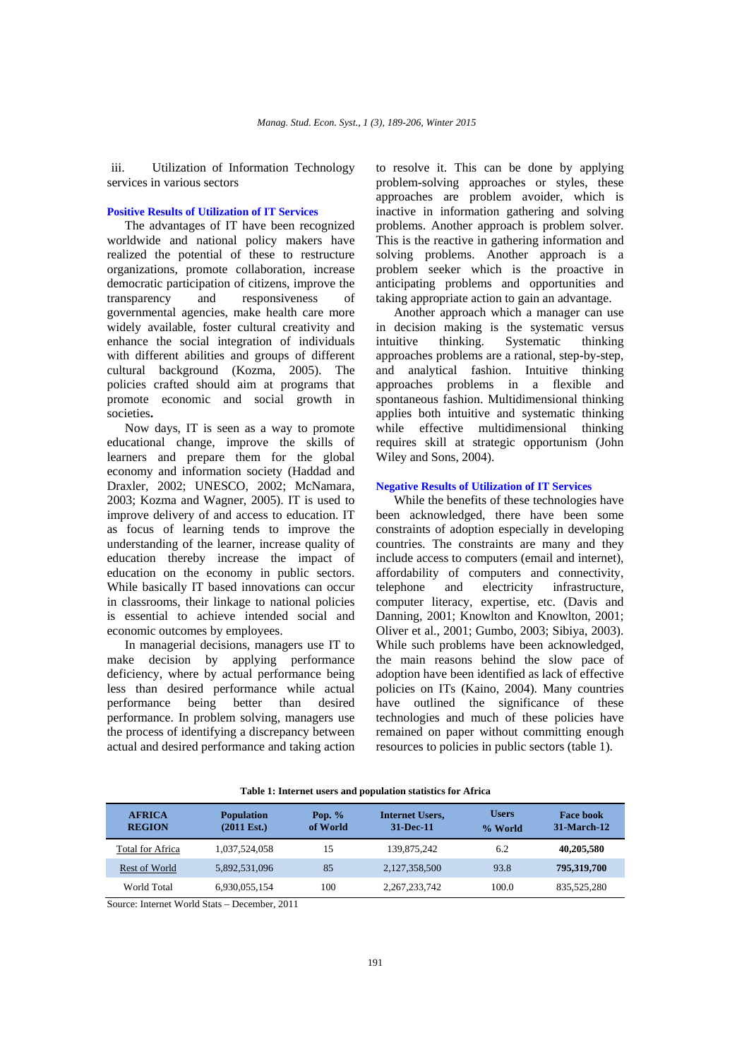iii. Utilization of Information Technology services in various sectors

# **Positive Results of Utilization of IT Services**

The advantages of IT have been recognized worldwide and national policy makers have realized the potential of these to restructure organizations, promote collaboration, increase democratic participation of citizens, improve the transparency and responsiveness of governmental agencies, make health care more widely available, foster cultural creativity and enhance the social integration of individuals with different abilities and groups of different cultural background (Kozma, 2005). The policies crafted should aim at programs that promote economic and social growth in societies**.** 

Now days, IT is seen as a way to promote educational change, improve the skills of learners and prepare them for the global economy and information society (Haddad and Draxler, 2002; UNESCO, 2002; McNamara, 2003; Kozma and Wagner, 2005). IT is used to improve delivery of and access to education. IT as focus of learning tends to improve the understanding of the learner, increase quality of education thereby increase the impact of education on the economy in public sectors. While basically IT based innovations can occur in classrooms, their linkage to national policies is essential to achieve intended social and economic outcomes by employees.

In managerial decisions, managers use IT to make decision by applying performance deficiency, where by actual performance being less than desired performance while actual performance being better than desired performance. In problem solving, managers use the process of identifying a discrepancy between actual and desired performance and taking action

to resolve it. This can be done by applying problem-solving approaches or styles, these approaches are problem avoider, which is inactive in information gathering and solving problems. Another approach is problem solver. This is the reactive in gathering information and solving problems. Another approach is a problem seeker which is the proactive in anticipating problems and opportunities and taking appropriate action to gain an advantage.

Another approach which a manager can use in decision making is the systematic versus intuitive thinking. Systematic thinking approaches problems are a rational, step-by-step, and analytical fashion. Intuitive thinking approaches problems in a flexible and spontaneous fashion. Multidimensional thinking applies both intuitive and systematic thinking while effective multidimensional thinking requires skill at strategic opportunism (John Wiley and Sons, 2004).

#### **Negative Results of Utilization of IT Services**

While the benefits of these technologies have been acknowledged, there have been some constraints of adoption especially in developing countries. The constraints are many and they include access to computers (email and internet), affordability of computers and connectivity, telephone and electricity infrastructure, computer literacy, expertise, etc. (Davis and Danning, 2001; Knowlton and Knowlton, 2001; Oliver et al., 2001; Gumbo, 2003; Sibiya, 2003). While such problems have been acknowledged, the main reasons behind the slow pace of adoption have been identified as lack of effective policies on ITs (Kaino, 2004). Many countries have outlined the significance of these technologies and much of these policies have remained on paper without committing enough resources to policies in public sectors (table 1).

| <b>AFRICA</b><br><b>REGION</b> | <b>Population</b><br>$(2011 \text{ Est.})$ | Pop. $%$<br>of World | <b>Internet Users,</b><br>31-Dec-11 | <b>Users</b><br>% World | <b>Face book</b><br><b>31-March-12</b> |
|--------------------------------|--------------------------------------------|----------------------|-------------------------------------|-------------------------|----------------------------------------|
| <b>Total for Africa</b>        | 1.037.524.058                              | 15                   | 139,875,242                         | 6.2                     | 40,205,580                             |
| Rest of World                  | 5,892,531,096                              | 85                   | 2,127,358,500                       | 93.8                    | 795,319,700                            |
| World Total                    | 6,930,055,154                              | 100                  | 2, 267, 233, 742                    | 100.0                   | 835.525.280                            |

**Table 1: Internet users and population statistics for Africa** 

Source: Internet World Stats – December, 2011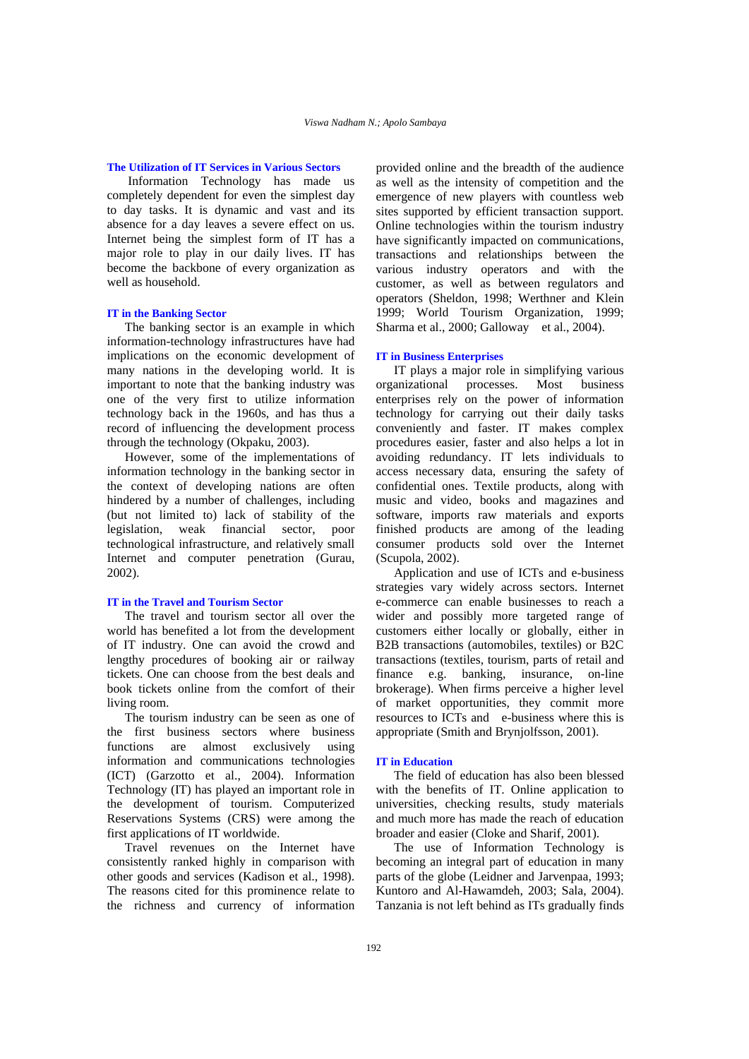# **The Utilization of IT Services in Various Sectors**

 Information Technology has made us completely dependent for even the simplest day to day tasks. It is dynamic and vast and its absence for a day leaves a severe effect on us. Internet being the simplest form of IT has a major role to play in our daily lives. IT has become the backbone of every organization as well as household.

#### **IT in the Banking Sector**

The banking sector is an example in which information-technology infrastructures have had implications on the economic development of many nations in the developing world. It is important to note that the banking industry was one of the very first to utilize information technology back in the 1960s, and has thus a record of influencing the development process through the technology (Okpaku, 2003).

However, some of the implementations of information technology in the banking sector in the context of developing nations are often hindered by a number of challenges, including (but not limited to) lack of stability of the legislation, weak financial sector, poor technological infrastructure, and relatively small Internet and computer penetration (Gurau, 2002).

#### **IT in the Travel and Tourism Sector**

The travel and tourism sector all over the world has benefited a lot from the development of IT industry. One can avoid the crowd and lengthy procedures of booking air or railway tickets. One can choose from the best deals and book tickets online from the comfort of their living room.

The tourism industry can be seen as one of the first business sectors where business functions are almost exclusively using information and communications technologies (ICT) (Garzotto et al., 2004). Information Technology (IT) has played an important role in the development of tourism. Computerized Reservations Systems (CRS) were among the first applications of IT worldwide.

Travel revenues on the Internet have consistently ranked highly in comparison with other goods and services (Kadison et al., 1998). The reasons cited for this prominence relate to the richness and currency of information

provided online and the breadth of the audience as well as the intensity of competition and the emergence of new players with countless web sites supported by efficient transaction support. Online technologies within the tourism industry have significantly impacted on communications, transactions and relationships between the various industry operators and with the customer, as well as between regulators and operators (Sheldon, 1998; Werthner and Klein 1999; World Tourism Organization, 1999; Sharma et al., 2000; Galloway et al., 2004).

#### **IT in Business Enterprises**

IT plays a major role in simplifying various organizational processes. Most business enterprises rely on the power of information technology for carrying out their daily tasks conveniently and faster. IT makes complex procedures easier, faster and also helps a lot in avoiding redundancy. IT lets individuals to access necessary data, ensuring the safety of confidential ones. Textile products, along with music and video, books and magazines and software, imports raw materials and exports finished products are among of the leading consumer products sold over the Internet (Scupola, 2002).

Application and use of ICTs and e-business strategies vary widely across sectors. Internet e-commerce can enable businesses to reach a wider and possibly more targeted range of customers either locally or globally, either in B2B transactions (automobiles, textiles) or B2C transactions (textiles, tourism, parts of retail and finance e.g. banking, insurance, on-line brokerage). When firms perceive a higher level of market opportunities, they commit more resources to ICTs and e-business where this is appropriate (Smith and Brynjolfsson, 2001).

#### **IT in Education**

The field of education has also been blessed with the benefits of IT. Online application to universities, checking results, study materials and much more has made the reach of education broader and easier (Cloke and Sharif, 2001).

The use of Information Technology is becoming an integral part of education in many parts of the globe (Leidner and Jarvenpaa, 1993; Kuntoro and Al-Hawamdeh, 2003; Sala, 2004). Tanzania is not left behind as ITs gradually finds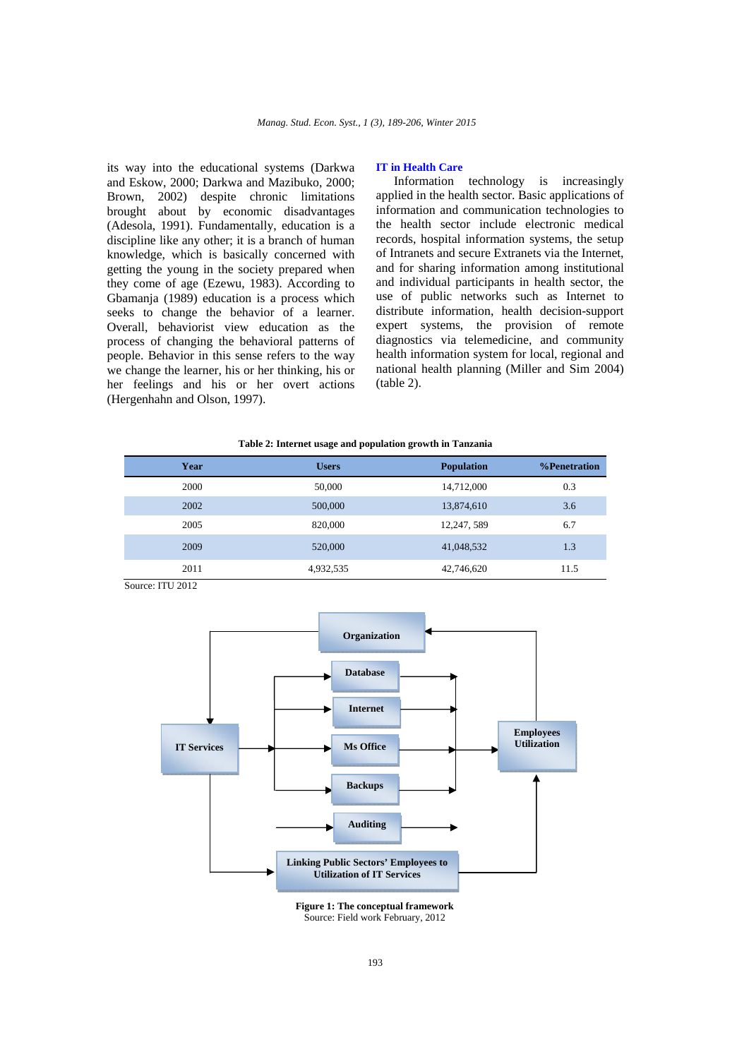its way into the educational systems (Darkwa and Eskow, 2000; Darkwa and Mazibuko, 2000; Brown, 2002) despite chronic limitations brought about by economic disadvantages (Adesola, 1991). Fundamentally, education is a discipline like any other; it is a branch of human knowledge, which is basically concerned with getting the young in the society prepared when they come of age (Ezewu, 1983). According to Gbamanja (1989) education is a process which seeks to change the behavior of a learner. Overall, behaviorist view education as the process of changing the behavioral patterns of people. Behavior in this sense refers to the way we change the learner, his or her thinking, his or her feelings and his or her overt actions (Hergenhahn and Olson, 1997).

### **IT in Health Care**

Information technology is increasingly applied in the health sector. Basic applications of information and communication technologies to the health sector include electronic medical records, hospital information systems, the setup of Intranets and secure Extranets via the Internet, and for sharing information among institutional and individual participants in health sector, the use of public networks such as Internet to distribute information, health decision-support expert systems, the provision of remote diagnostics via telemedicine, and community health information system for local, regional and national health planning (Miller and Sim 2004) (table 2).

|  |  |  |  |  | Table 2: Internet usage and population growth in Tanzania |
|--|--|--|--|--|-----------------------------------------------------------|
|  |  |  |  |  |                                                           |

| Year | <b>Users</b> | <b>Population</b> | %Penetration |
|------|--------------|-------------------|--------------|
| 2000 | 50,000       | 14,712,000        | 0.3          |
| 2002 | 500,000      | 13,874,610        | 3.6          |
| 2005 | 820,000      | 12,247,589        | 6.7          |
| 2009 | 520,000      | 41,048,532        | 1.3          |
| 2011 | 4,932,535    | 42,746,620        | 11.5         |

Source: ITU 2012



**Figure 1: The conceptual framework**  Source: Field work February, 2012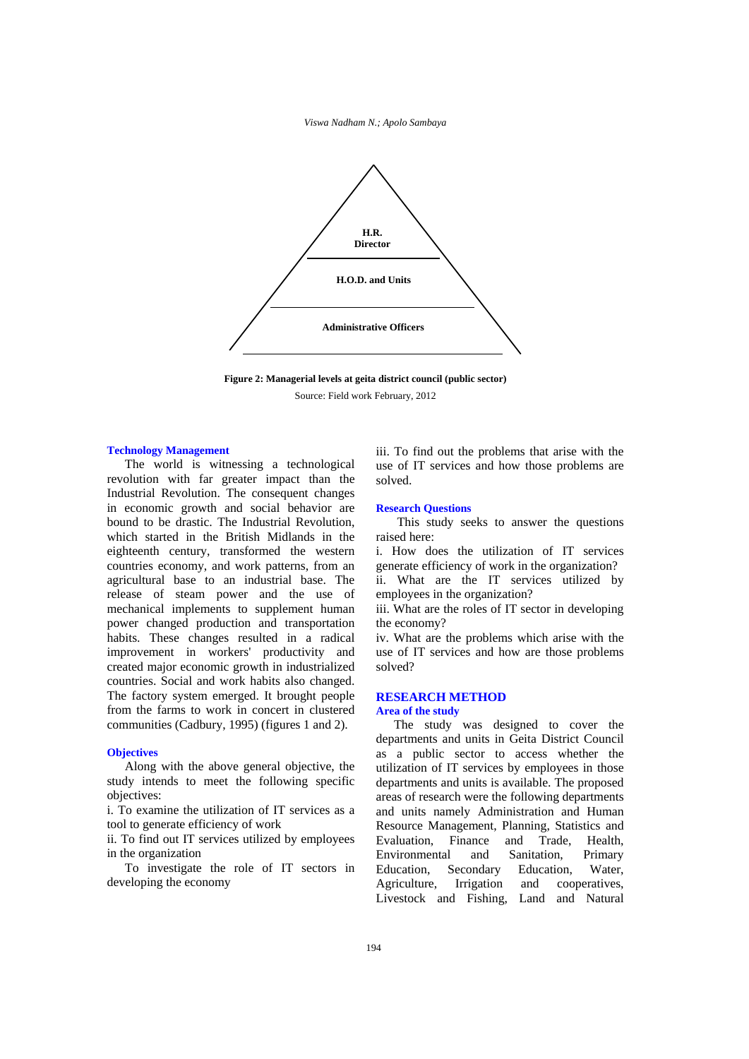*Viswa Nadham N.; Apolo Sambaya*





#### **Technology Management**

The world is witnessing a technological revolution with far greater impact than the Industrial Revolution. The consequent changes in economic growth and social behavior are bound to be drastic. The Industrial Revolution, which started in the British Midlands in the eighteenth century, transformed the western countries economy, and work patterns, from an agricultural base to an industrial base. The release of steam power and the use of mechanical implements to supplement human power changed production and transportation habits. These changes resulted in a radical improvement in workers' productivity and created major economic growth in industrialized countries. Social and work habits also changed. The factory system emerged. It brought people from the farms to work in concert in clustered communities (Cadbury, 1995) (figures 1 and 2).

# **Objectives**

Along with the above general objective, the study intends to meet the following specific objectives:

i. To examine the utilization of IT services as a tool to generate efficiency of work

ii. To find out IT services utilized by employees in the organization

To investigate the role of IT sectors in developing the economy

iii. To find out the problems that arise with the use of IT services and how those problems are solved.

#### **Research Questions**

 This study seeks to answer the questions raised here:

i. How does the utilization of IT services generate efficiency of work in the organization?

ii. What are the IT services utilized by employees in the organization?

iii. What are the roles of IT sector in developing the economy?

iv. What are the problems which arise with the use of IT services and how are those problems solved?

### **RESEARCH METHOD Area of the study**

The study was designed to cover the departments and units in Geita District Council as a public sector to access whether the utilization of IT services by employees in those departments and units is available. The proposed areas of research were the following departments and units namely Administration and Human Resource Management, Planning, Statistics and Evaluation, Finance and Trade, Health, Environmental and Sanitation, Primary Education, Secondary Education, Water, Agriculture, Irrigation and cooperatives, Livestock and Fishing, Land and Natural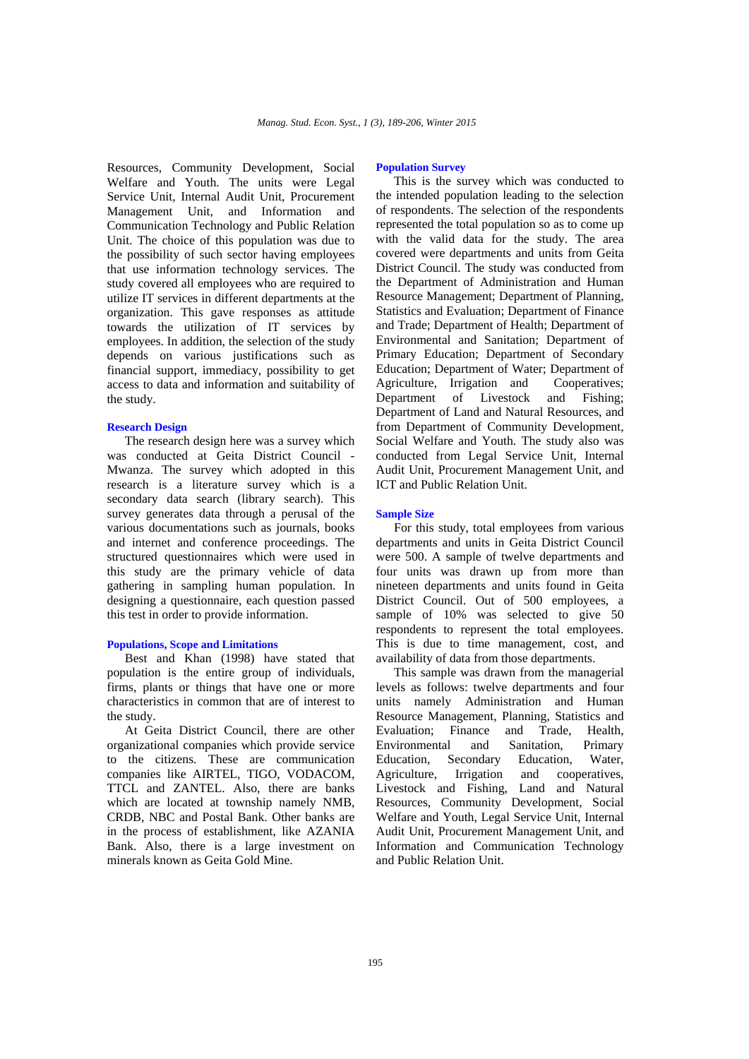Resources, Community Development, Social Welfare and Youth. The units were Legal Service Unit, Internal Audit Unit, Procurement Management Unit, and Information and Communication Technology and Public Relation Unit. The choice of this population was due to the possibility of such sector having employees that use information technology services. The study covered all employees who are required to utilize IT services in different departments at the organization. This gave responses as attitude towards the utilization of IT services by employees. In addition, the selection of the study depends on various justifications such as financial support, immediacy, possibility to get access to data and information and suitability of the study.

## **Research Design**

The research design here was a survey which was conducted at Geita District Council - Mwanza. The survey which adopted in this research is a literature survey which is a secondary data search (library search). This survey generates data through a perusal of the various documentations such as journals, books and internet and conference proceedings. The structured questionnaires which were used in this study are the primary vehicle of data gathering in sampling human population. In designing a questionnaire, each question passed this test in order to provide information.

#### **Populations, Scope and Limitations**

Best and Khan (1998) have stated that population is the entire group of individuals, firms, plants or things that have one or more characteristics in common that are of interest to the study.

At Geita District Council, there are other organizational companies which provide service to the citizens. These are communication companies like AIRTEL, TIGO, VODACOM, TTCL and ZANTEL. Also, there are banks which are located at township namely NMB, CRDB, NBC and Postal Bank. Other banks are in the process of establishment, like AZANIA Bank. Also, there is a large investment on minerals known as Geita Gold Mine.

#### **Population Survey**

This is the survey which was conducted to the intended population leading to the selection of respondents. The selection of the respondents represented the total population so as to come up with the valid data for the study. The area covered were departments and units from Geita District Council. The study was conducted from the Department of Administration and Human Resource Management; Department of Planning, Statistics and Evaluation; Department of Finance and Trade; Department of Health; Department of Environmental and Sanitation; Department of Primary Education; Department of Secondary Education; Department of Water; Department of Agriculture, Irrigation and Cooperatives; Department of Livestock and Fishing; Department of Land and Natural Resources, and from Department of Community Development, Social Welfare and Youth. The study also was conducted from Legal Service Unit, Internal Audit Unit, Procurement Management Unit, and ICT and Public Relation Unit.

### **Sample Size**

For this study, total employees from various departments and units in Geita District Council were 500. A sample of twelve departments and four units was drawn up from more than nineteen departments and units found in Geita District Council. Out of 500 employees, a sample of 10% was selected to give 50 respondents to represent the total employees. This is due to time management, cost, and availability of data from those departments.

This sample was drawn from the managerial levels as follows: twelve departments and four units namely Administration and Human Resource Management, Planning, Statistics and Evaluation; Finance and Trade, Health, Environmental and Sanitation, Primary Education, Secondary Education, Water, Agriculture, Irrigation and cooperatives, Livestock and Fishing, Land and Natural Resources, Community Development, Social Welfare and Youth, Legal Service Unit, Internal Audit Unit, Procurement Management Unit, and Information and Communication Technology and Public Relation Unit.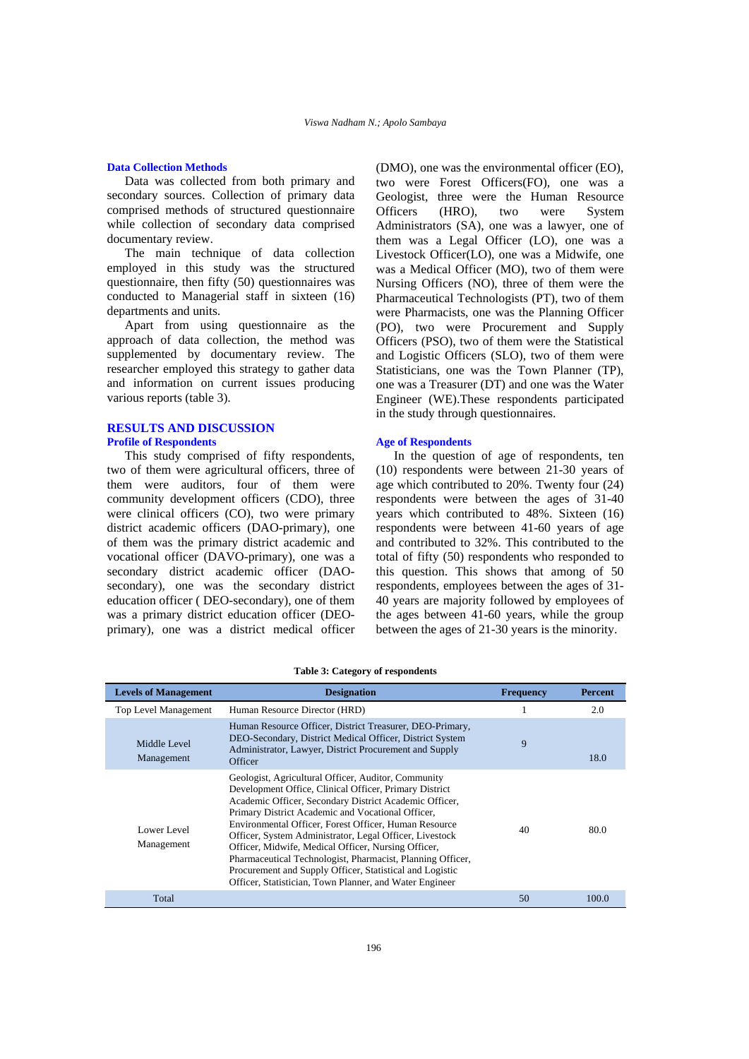# **Data Collection Methods**

Data was collected from both primary and secondary sources. Collection of primary data comprised methods of structured questionnaire while collection of secondary data comprised documentary review.

The main technique of data collection employed in this study was the structured questionnaire, then fifty (50) questionnaires was conducted to Managerial staff in sixteen (16) departments and units.

Apart from using questionnaire as the approach of data collection, the method was supplemented by documentary review. The researcher employed this strategy to gather data and information on current issues producing various reports (table 3).

# **RESULTS AND DISCUSSION Profile of Respondents**

This study comprised of fifty respondents, two of them were agricultural officers, three of them were auditors, four of them were community development officers (CDO), three were clinical officers (CO), two were primary district academic officers (DAO-primary), one of them was the primary district academic and vocational officer (DAVO-primary), one was a secondary district academic officer (DAOsecondary), one was the secondary district education officer ( DEO-secondary), one of them was a primary district education officer (DEOprimary), one was a district medical officer

(DMO), one was the environmental officer (EO), two were Forest Officers(FO), one was a Geologist, three were the Human Resource Officers (HRO), two were System Administrators (SA), one was a lawyer, one of them was a Legal Officer (LO), one was a Livestock Officer(LO), one was a Midwife, one was a Medical Officer (MO), two of them were Nursing Officers (NO), three of them were the Pharmaceutical Technologists (PT), two of them were Pharmacists, one was the Planning Officer (PO), two were Procurement and Supply Officers (PSO), two of them were the Statistical and Logistic Officers (SLO), two of them were Statisticians, one was the Town Planner (TP), one was a Treasurer (DT) and one was the Water Engineer (WE).These respondents participated in the study through questionnaires.

# **Age of Respondents**

In the question of age of respondents, ten (10) respondents were between 21-30 years of age which contributed to 20%. Twenty four (24) respondents were between the ages of 31-40 years which contributed to 48%. Sixteen (16) respondents were between 41-60 years of age and contributed to 32%. This contributed to the total of fifty (50) respondents who responded to this question. This shows that among of 50 respondents, employees between the ages of 31- 40 years are majority followed by employees of the ages between 41-60 years, while the group between the ages of 21-30 years is the minority.

| <b>Levels of Management</b> | <b>Designation</b>                                                                                                                                                                                                                                                                                                                                                                                                                                                                                                                                                                           | <b>Frequency</b> | Percent |
|-----------------------------|----------------------------------------------------------------------------------------------------------------------------------------------------------------------------------------------------------------------------------------------------------------------------------------------------------------------------------------------------------------------------------------------------------------------------------------------------------------------------------------------------------------------------------------------------------------------------------------------|------------------|---------|
| <b>Top Level Management</b> | Human Resource Director (HRD)                                                                                                                                                                                                                                                                                                                                                                                                                                                                                                                                                                |                  | 2.0     |
| Middle Level<br>Management  | Human Resource Officer, District Treasurer, DEO-Primary,<br>DEO-Secondary, District Medical Officer, District System<br>Administrator, Lawyer, District Procurement and Supply<br>Officer                                                                                                                                                                                                                                                                                                                                                                                                    | 9                | 18.0    |
| Lower Level<br>Management   | Geologist, Agricultural Officer, Auditor, Community<br>Development Office, Clinical Officer, Primary District<br>Academic Officer, Secondary District Academic Officer,<br>Primary District Academic and Vocational Officer,<br>Environmental Officer, Forest Officer, Human Resource<br>Officer, System Administrator, Legal Officer, Livestock<br>Officer, Midwife, Medical Officer, Nursing Officer,<br>Pharmaceutical Technologist, Pharmacist, Planning Officer,<br>Procurement and Supply Officer, Statistical and Logistic<br>Officer, Statistician, Town Planner, and Water Engineer | 40               | 80.0    |
| Total                       |                                                                                                                                                                                                                                                                                                                                                                                                                                                                                                                                                                                              | 50               | 100.0   |

**Table 3: Category of respondents**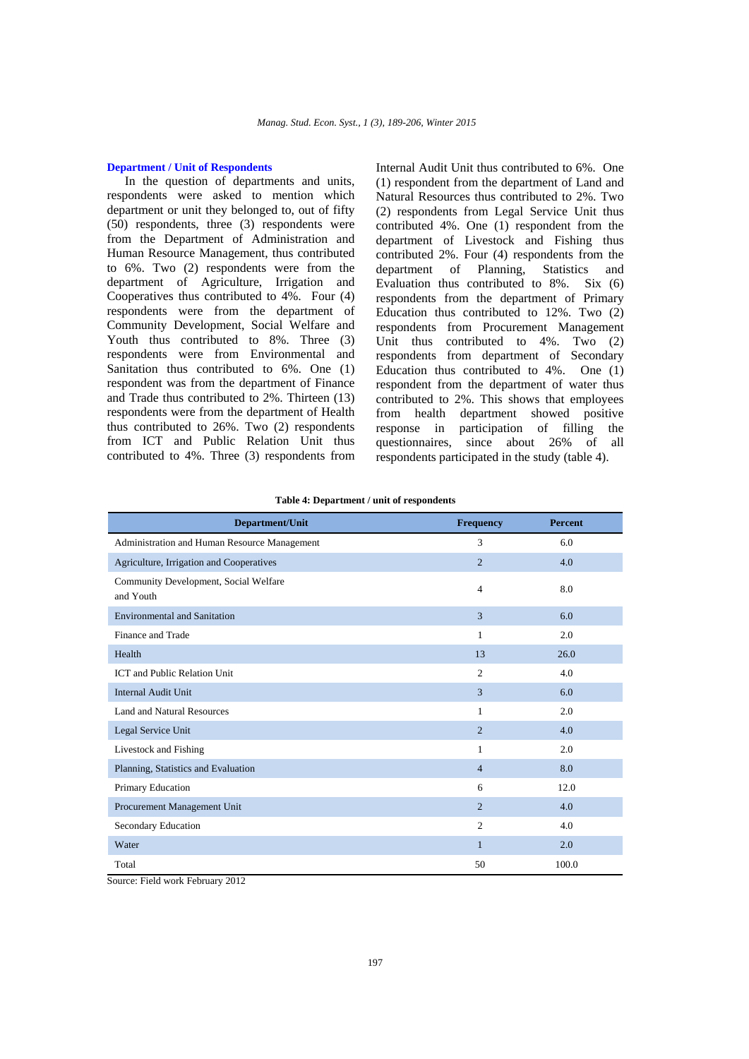# **Department / Unit of Respondents**

In the question of departments and units, respondents were asked to mention which department or unit they belonged to, out of fifty (50) respondents, three (3) respondents were from the Department of Administration and Human Resource Management, thus contributed to 6%. Two (2) respondents were from the department of Agriculture, Irrigation and Cooperatives thus contributed to 4%. Four (4) respondents were from the department of Community Development, Social Welfare and Youth thus contributed to 8%. Three (3) respondents were from Environmental and Sanitation thus contributed to 6%. One (1) respondent was from the department of Finance and Trade thus contributed to 2%. Thirteen (13) respondents were from the department of Health thus contributed to 26%. Two (2) respondents from ICT and Public Relation Unit thus contributed to 4%. Three (3) respondents from Internal Audit Unit thus contributed to 6%. One (1) respondent from the department of Land and Natural Resources thus contributed to 2%. Two (2) respondents from Legal Service Unit thus contributed 4%. One (1) respondent from the department of Livestock and Fishing thus contributed 2%. Four (4) respondents from the department of Planning, Statistics and Evaluation thus contributed to 8%. Six (6) respondents from the department of Primary Education thus contributed to 12%. Two (2) respondents from Procurement Management Unit thus contributed to 4%. Two (2) respondents from department of Secondary Education thus contributed to 4%. One (1) respondent from the department of water thus contributed to 2%. This shows that employees from health department showed positive response in participation of filling the questionnaires, since about 26% of all respondents participated in the study (table 4).

| Table 4: Department / unit of respondents |  |  |  |  |
|-------------------------------------------|--|--|--|--|
|-------------------------------------------|--|--|--|--|

| Department/Unit                                    | <b>Frequency</b> | <b>Percent</b> |
|----------------------------------------------------|------------------|----------------|
| Administration and Human Resource Management       | 3                | 6.0            |
| Agriculture, Irrigation and Cooperatives           | $\overline{2}$   | 4.0            |
| Community Development, Social Welfare<br>and Youth | 4                | 8.0            |
| <b>Environmental and Sanitation</b>                | 3                | 6.0            |
| Finance and Trade                                  | $\mathbf{1}$     | 2.0            |
| Health                                             | 13               | 26.0           |
| <b>ICT</b> and Public Relation Unit                | $\overline{c}$   | 4.0            |
| <b>Internal Audit Unit</b>                         | 3                | 6.0            |
| Land and Natural Resources                         | 1                | 2.0            |
| Legal Service Unit                                 | $\overline{2}$   | 4.0            |
| Livestock and Fishing                              | 1                | 2.0            |
| Planning, Statistics and Evaluation                | 4                | 8.0            |
| Primary Education                                  | 6                | 12.0           |
| Procurement Management Unit                        | $\overline{2}$   | 4.0            |
| Secondary Education                                | $\overline{c}$   | 4.0            |
| Water                                              | $\mathbf{1}$     | 2.0            |
| Total                                              | 50               | 100.0          |

Source: Field work February 2012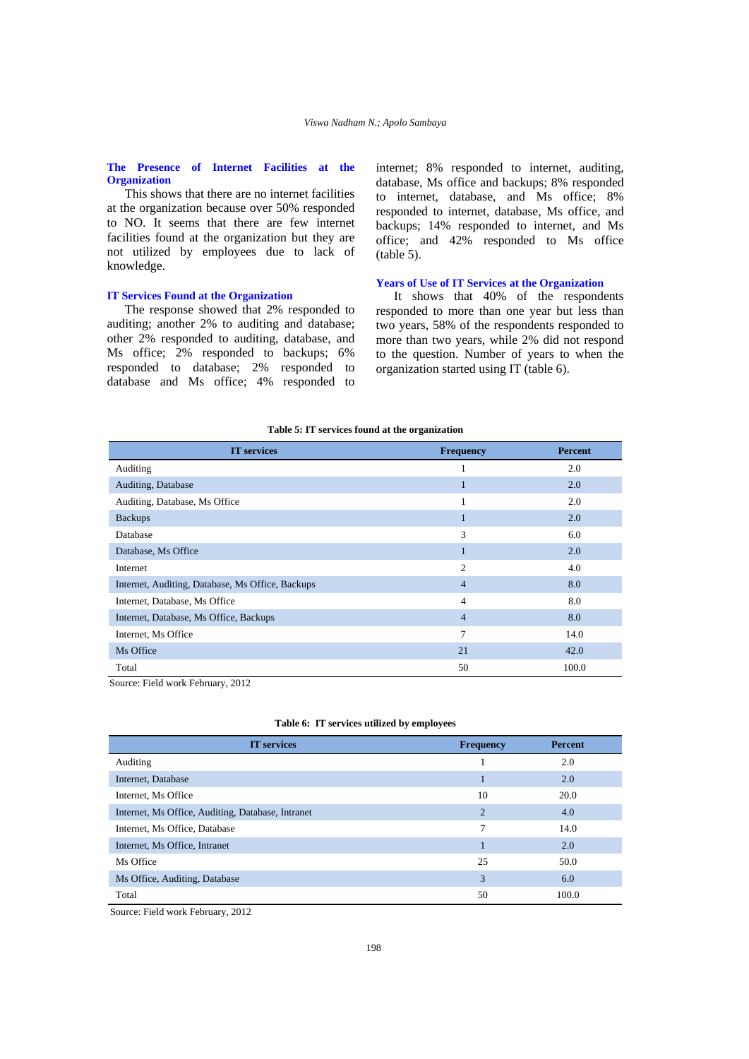# **The Presence of Internet Facilities at the Organization**

This shows that there are no internet facilities at the organization because over 50% responded to NO. It seems that there are few internet facilities found at the organization but they are not utilized by employees due to lack of knowledge.

# **IT Services Found at the Organization**

The response showed that 2% responded to auditing; another 2% to auditing and database; other 2% responded to auditing, database, and Ms office; 2% responded to backups; 6% responded to database; 2% responded to database and Ms office; 4% responded to internet; 8% responded to internet, auditing, database, Ms office and backups; 8% responded to internet, database, and Ms office; 8% responded to internet, database, Ms office, and backups; 14% responded to internet, and Ms office; and 42% responded to Ms office (table 5).

# **Years of Use of IT Services at the Organization**

It shows that 40% of the respondents responded to more than one year but less than two years, 58% of the respondents responded to more than two years, while 2% did not respond to the question. Number of years to when the organization started using IT (table 6).

#### **Table 5: IT services found at the organization**

| <b>IT</b> services                               | <b>Frequency</b> | <b>Percent</b> |
|--------------------------------------------------|------------------|----------------|
| Auditing                                         | 1                | 2.0            |
| Auditing, Database                               | п                | 2.0            |
| Auditing, Database, Ms Office                    | 1                | 2.0            |
| <b>Backups</b>                                   | 1                | 2.0            |
| Database                                         | 3                | 6.0            |
| Database, Ms Office                              | 1                | 2.0            |
| Internet                                         | $\overline{c}$   | 4.0            |
| Internet, Auditing, Database, Ms Office, Backups | $\overline{4}$   | 8.0            |
| Internet, Database, Ms Office                    | $\overline{4}$   | 8.0            |
| Internet, Database, Ms Office, Backups           | $\overline{4}$   | 8.0            |
| Internet, Ms Office                              | 7                | 14.0           |
| Ms Office                                        | 21               | 42.0           |
| Total                                            | 50               | 100.0          |

Source: Field work February, 2012

|  |  |  |  |  | Table 6: IT services utilized by employees |
|--|--|--|--|--|--------------------------------------------|
|--|--|--|--|--|--------------------------------------------|

| <b>IT</b> services                                | <b>Frequency</b> | <b>Percent</b> |
|---------------------------------------------------|------------------|----------------|
| Auditing                                          |                  | 2.0            |
| Internet, Database                                |                  | 2.0            |
| Internet, Ms Office                               | 10               | 20.0           |
| Internet, Ms Office, Auditing, Database, Intranet | $\overline{2}$   | 4.0            |
| Internet, Ms Office, Database                     | 7                | 14.0           |
| Internet, Ms Office, Intranet                     |                  | 2.0            |
| Ms Office                                         | 25               | 50.0           |
| Ms Office, Auditing, Database                     | 3                | 6.0            |
| Total                                             | 50               | 100.0          |

Source: Field work February, 2012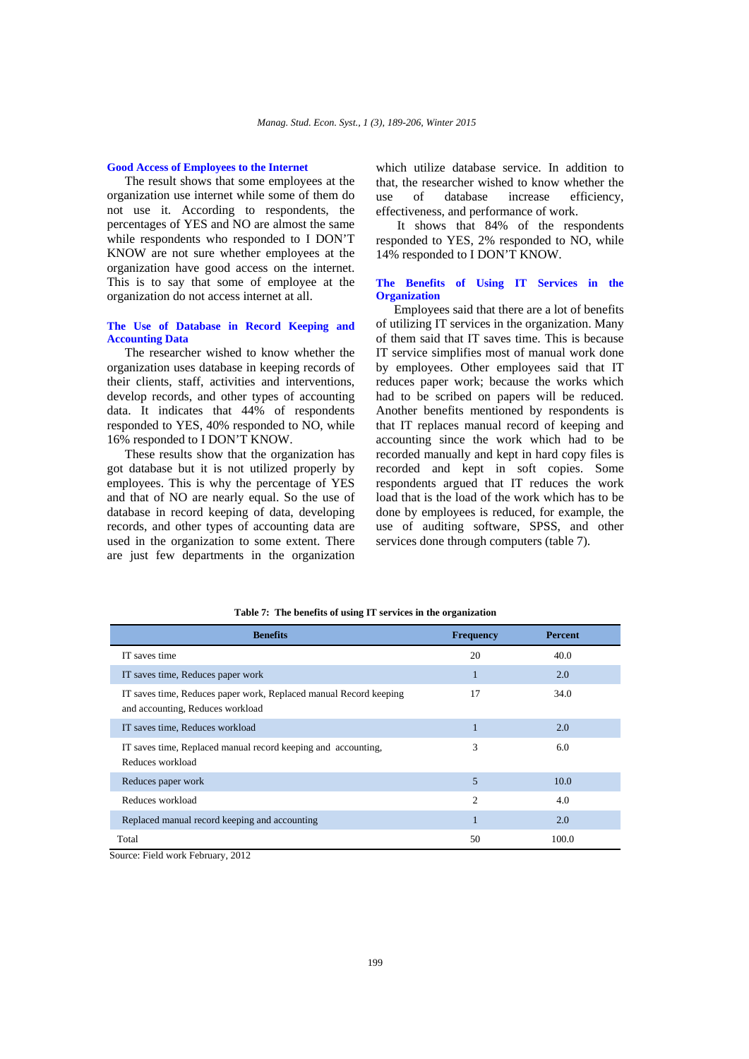# **Good Access of Employees to the Internet**

The result shows that some employees at the organization use internet while some of them do not use it. According to respondents, the percentages of YES and NO are almost the same while respondents who responded to I DON'T KNOW are not sure whether employees at the organization have good access on the internet. This is to say that some of employee at the organization do not access internet at all.

# **The Use of Database in Record Keeping and Accounting Data**

The researcher wished to know whether the organization uses database in keeping records of their clients, staff, activities and interventions, develop records, and other types of accounting data. It indicates that 44% of respondents responded to YES, 40% responded to NO, while 16% responded to I DON'T KNOW.

These results show that the organization has got database but it is not utilized properly by employees. This is why the percentage of YES and that of NO are nearly equal. So the use of database in record keeping of data, developing records, and other types of accounting data are used in the organization to some extent. There are just few departments in the organization

which utilize database service. In addition to that, the researcher wished to know whether the use of database increase efficiency, effectiveness, and performance of work.

 It shows that 84% of the respondents responded to YES, 2% responded to NO, while 14% responded to I DON'T KNOW.

# **The Benefits of Using IT Services in the Organization**

Employees said that there are a lot of benefits of utilizing IT services in the organization. Many of them said that IT saves time. This is because IT service simplifies most of manual work done by employees. Other employees said that IT reduces paper work; because the works which had to be scribed on papers will be reduced. Another benefits mentioned by respondents is that IT replaces manual record of keeping and accounting since the work which had to be recorded manually and kept in hard copy files is recorded and kept in soft copies. Some respondents argued that IT reduces the work load that is the load of the work which has to be done by employees is reduced, for example, the use of auditing software, SPSS, and other services done through computers (table 7).

| <b>Benefits</b>                                                                                       | <b>Frequency</b> | <b>Percent</b> |
|-------------------------------------------------------------------------------------------------------|------------------|----------------|
| IT saves time                                                                                         | 20               | 40.0           |
| IT saves time, Reduces paper work                                                                     | 1                | 2.0            |
| IT saves time, Reduces paper work, Replaced manual Record keeping<br>and accounting, Reduces workload | 17               | 34.0           |
| IT saves time, Reduces workload                                                                       |                  | 2.0            |
| IT saves time, Replaced manual record keeping and accounting,<br>Reduces workload                     | 3                | 6.0            |
| Reduces paper work                                                                                    | 5                | 10.0           |
| Reduces workload                                                                                      | $\overline{c}$   | 4.0            |
| Replaced manual record keeping and accounting                                                         | $\mathbf{1}$     | 2.0            |
| Total                                                                                                 | 50               | 100.0          |

#### **Table 7: The benefits of using IT services in the organization**

Source: Field work February, 2012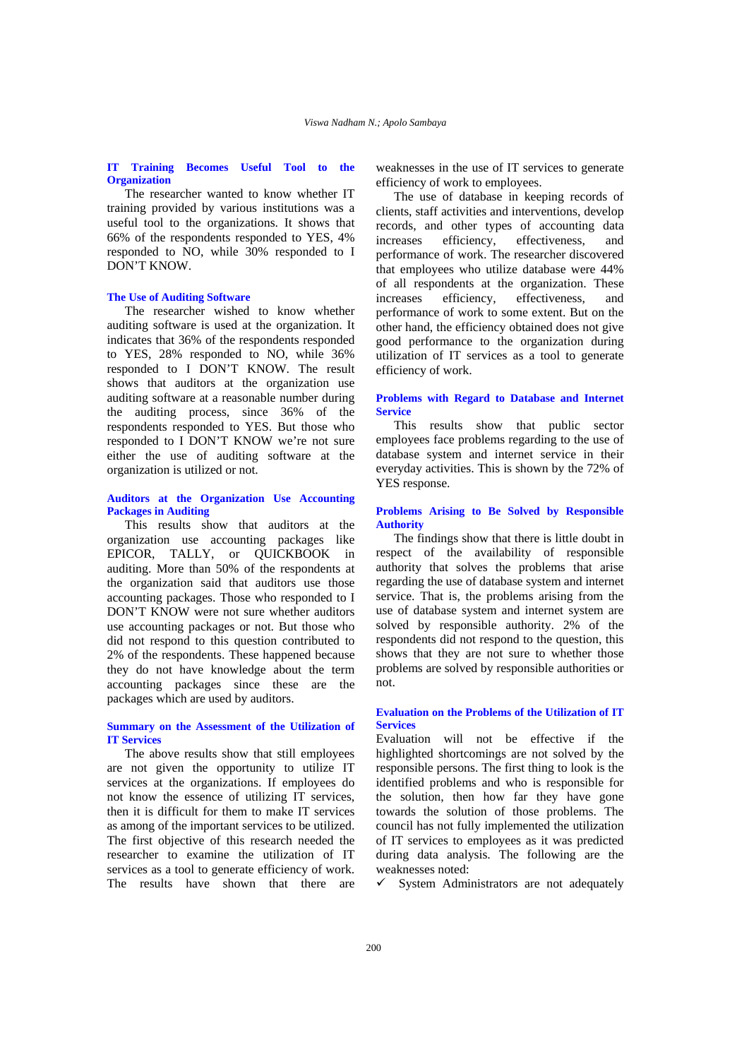# **IT Training Becomes Useful Tool to the Organization**

The researcher wanted to know whether IT training provided by various institutions was a useful tool to the organizations. It shows that 66% of the respondents responded to YES, 4% responded to NO, while 30% responded to I DON'T KNOW.

# **The Use of Auditing Software**

The researcher wished to know whether auditing software is used at the organization. It indicates that 36% of the respondents responded to YES, 28% responded to NO, while 36% responded to I DON'T KNOW. The result shows that auditors at the organization use auditing software at a reasonable number during the auditing process, since 36% of the respondents responded to YES. But those who responded to I DON'T KNOW we're not sure either the use of auditing software at the organization is utilized or not.

# **Auditors at the Organization Use Accounting Packages in Auditing**

This results show that auditors at the organization use accounting packages like EPICOR, TALLY, or QUICKBOOK in auditing. More than 50% of the respondents at the organization said that auditors use those accounting packages. Those who responded to I DON'T KNOW were not sure whether auditors use accounting packages or not. But those who did not respond to this question contributed to 2% of the respondents. These happened because they do not have knowledge about the term accounting packages since these are the packages which are used by auditors.

# **Summary on the Assessment of the Utilization of IT Services**

The above results show that still employees are not given the opportunity to utilize IT services at the organizations. If employees do not know the essence of utilizing IT services, then it is difficult for them to make IT services as among of the important services to be utilized. The first objective of this research needed the researcher to examine the utilization of IT services as a tool to generate efficiency of work. The results have shown that there are

weaknesses in the use of IT services to generate efficiency of work to employees.

The use of database in keeping records of clients, staff activities and interventions, develop records, and other types of accounting data increases efficiency, effectiveness, and performance of work. The researcher discovered that employees who utilize database were 44% of all respondents at the organization. These increases efficiency, effectiveness, and performance of work to some extent. But on the other hand, the efficiency obtained does not give good performance to the organization during utilization of IT services as a tool to generate efficiency of work.

# **Problems with Regard to Database and Internet Service**

This results show that public sector employees face problems regarding to the use of database system and internet service in their everyday activities. This is shown by the 72% of YES response.

# **Problems Arising to Be Solved by Responsible Authority**

The findings show that there is little doubt in respect of the availability of responsible authority that solves the problems that arise regarding the use of database system and internet service. That is, the problems arising from the use of database system and internet system are solved by responsible authority. 2% of the respondents did not respond to the question, this shows that they are not sure to whether those problems are solved by responsible authorities or not.

# **Evaluation on the Problems of the Utilization of IT Services**

Evaluation will not be effective if the highlighted shortcomings are not solved by the responsible persons. The first thing to look is the identified problems and who is responsible for the solution, then how far they have gone towards the solution of those problems. The council has not fully implemented the utilization of IT services to employees as it was predicted during data analysis. The following are the weaknesses noted:

 $\checkmark$  System Administrators are not adequately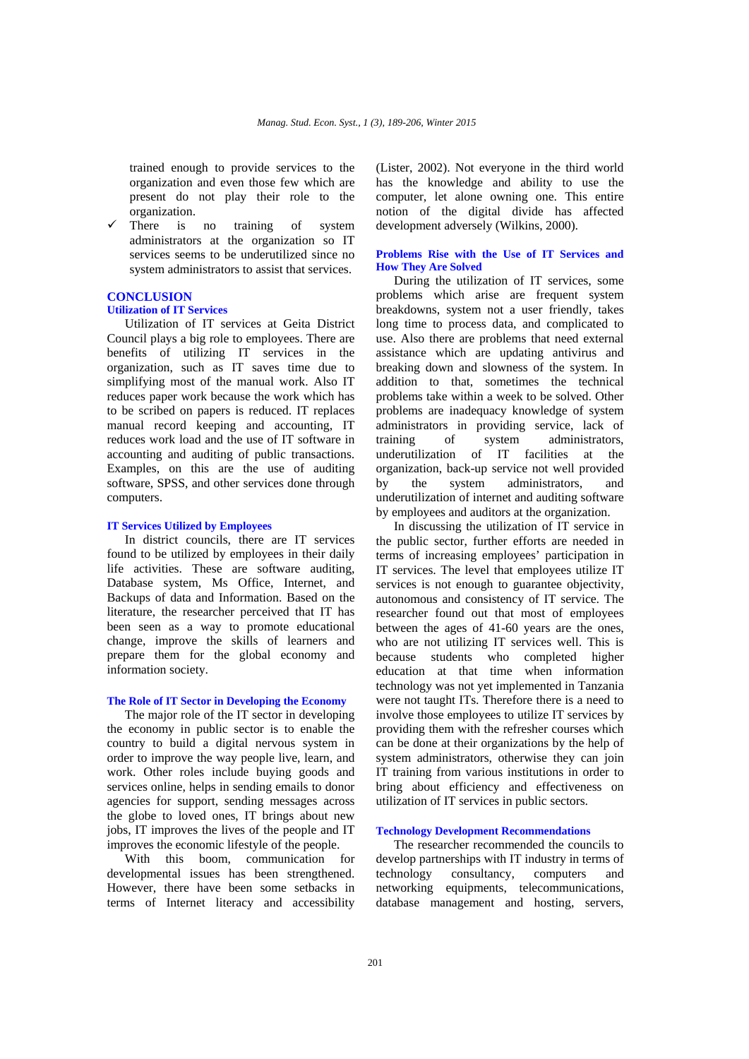trained enough to provide services to the organization and even those few which are present do not play their role to the organization.

There is no training of system administrators at the organization so IT services seems to be underutilized since no system administrators to assist that services.

# **CONCLUSION**

# **Utilization of IT Services**

Utilization of IT services at Geita District Council plays a big role to employees. There are benefits of utilizing IT services in the organization, such as IT saves time due to simplifying most of the manual work. Also IT reduces paper work because the work which has to be scribed on papers is reduced. IT replaces manual record keeping and accounting, IT reduces work load and the use of IT software in accounting and auditing of public transactions. Examples, on this are the use of auditing software, SPSS, and other services done through computers.

# **IT Services Utilized by Employees**

In district councils, there are IT services found to be utilized by employees in their daily life activities. These are software auditing, Database system, Ms Office, Internet, and Backups of data and Information. Based on the literature, the researcher perceived that IT has been seen as a way to promote educational change, improve the skills of learners and prepare them for the global economy and information society.

### **The Role of IT Sector in Developing the Economy**

The major role of the IT sector in developing the economy in public sector is to enable the country to build a digital nervous system in order to improve the way people live, learn, and work. Other roles include buying goods and services online, helps in sending emails to donor agencies for support, sending messages across the globe to loved ones, IT brings about new jobs, IT improves the lives of the people and IT improves the economic lifestyle of the people.

With this boom, communication for developmental issues has been strengthened. However, there have been some setbacks in terms of Internet literacy and accessibility

(Lister, 2002). Not everyone in the third world has the knowledge and ability to use the computer, let alone owning one. This entire notion of the digital divide has affected development adversely (Wilkins, 2000).

# **Problems Rise with the Use of IT Services and How They Are Solved**

During the utilization of IT services, some problems which arise are frequent system breakdowns, system not a user friendly, takes long time to process data, and complicated to use. Also there are problems that need external assistance which are updating antivirus and breaking down and slowness of the system. In addition to that, sometimes the technical problems take within a week to be solved. Other problems are inadequacy knowledge of system administrators in providing service, lack of training of system administrators, underutilization of IT facilities at the organization, back-up service not well provided by the system administrators, and underutilization of internet and auditing software by employees and auditors at the organization.

In discussing the utilization of IT service in the public sector, further efforts are needed in terms of increasing employees' participation in IT services. The level that employees utilize IT services is not enough to guarantee objectivity, autonomous and consistency of IT service. The researcher found out that most of employees between the ages of 41-60 years are the ones, who are not utilizing IT services well. This is because students who completed higher education at that time when information technology was not yet implemented in Tanzania were not taught ITs. Therefore there is a need to involve those employees to utilize IT services by providing them with the refresher courses which can be done at their organizations by the help of system administrators, otherwise they can join IT training from various institutions in order to bring about efficiency and effectiveness on utilization of IT services in public sectors.

# **Technology Development Recommendations**

The researcher recommended the councils to develop partnerships with IT industry in terms of technology consultancy, computers and networking equipments, telecommunications, database management and hosting, servers,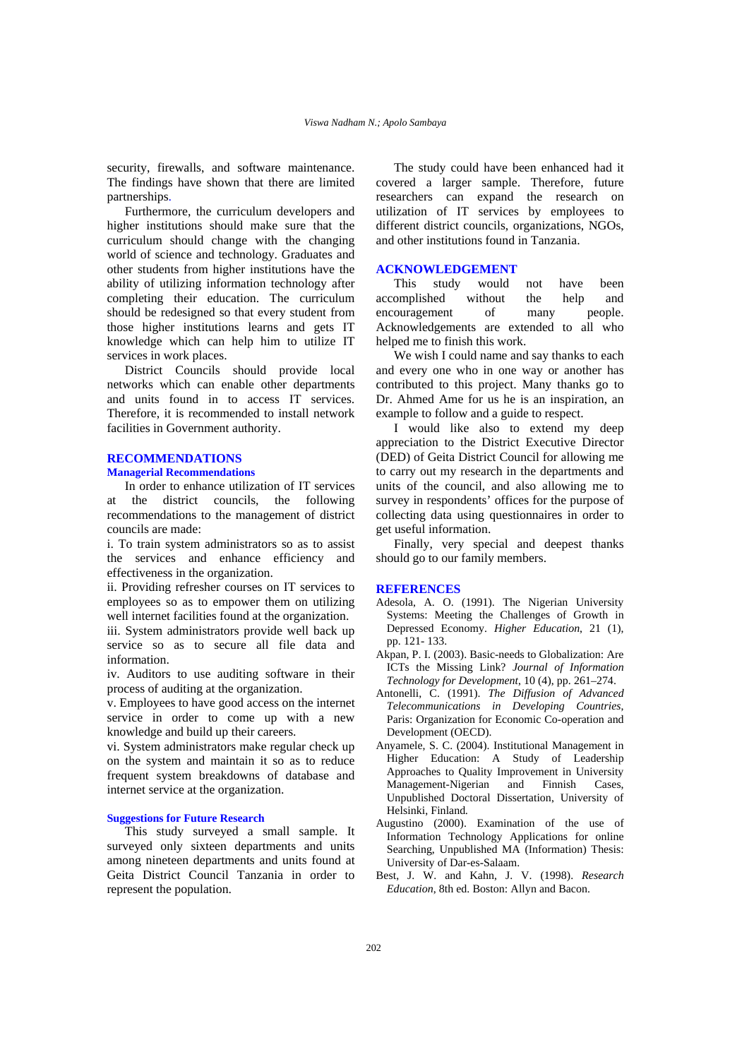security, firewalls, and software maintenance. The findings have shown that there are limited partnerships.

Furthermore, the curriculum developers and higher institutions should make sure that the curriculum should change with the changing world of science and technology. Graduates and other students from higher institutions have the ability of utilizing information technology after completing their education. The curriculum should be redesigned so that every student from those higher institutions learns and gets IT knowledge which can help him to utilize IT services in work places.

District Councils should provide local networks which can enable other departments and units found in to access IT services. Therefore, it is recommended to install network facilities in Government authority.

# **RECOMMENDATIONS**

# **Managerial Recommendations**

In order to enhance utilization of IT services at the district councils, the following recommendations to the management of district councils are made:

i. To train system administrators so as to assist the services and enhance efficiency and effectiveness in the organization.

ii. Providing refresher courses on IT services to employees so as to empower them on utilizing well internet facilities found at the organization.

iii. System administrators provide well back up service so as to secure all file data and information.

iv. Auditors to use auditing software in their process of auditing at the organization.

v. Employees to have good access on the internet service in order to come up with a new knowledge and build up their careers.

vi. System administrators make regular check up on the system and maintain it so as to reduce frequent system breakdowns of database and internet service at the organization.

# **Suggestions for Future Research**

This study surveyed a small sample. It surveyed only sixteen departments and units among nineteen departments and units found at Geita District Council Tanzania in order to represent the population.

The study could have been enhanced had it covered a larger sample. Therefore, future researchers can expand the research on utilization of IT services by employees to different district councils, organizations, NGOs, and other institutions found in Tanzania.

# **ACKNOWLEDGEMENT**

This study would not have been accomplished without the help and encouragement of many people. Acknowledgements are extended to all who helped me to finish this work.

We wish I could name and say thanks to each and every one who in one way or another has contributed to this project. Many thanks go to Dr. Ahmed Ame for us he is an inspiration, an example to follow and a guide to respect.

I would like also to extend my deep appreciation to the District Executive Director (DED) of Geita District Council for allowing me to carry out my research in the departments and units of the council, and also allowing me to survey in respondents' offices for the purpose of collecting data using questionnaires in order to get useful information.

Finally, very special and deepest thanks should go to our family members.

### **REFERENCES**

- Adesola, A. O. (1991). The Nigerian University Systems: Meeting the Challenges of Growth in Depressed Economy. *Higher Education*, 21 (1), pp. 121- 133.
- Akpan, P. I. (2003). Basic-needs to Globalization: Are ICTs the Missing Link? *Journal of Information Technology for Development*, 10 (4), pp. 261–274.
- Antonelli, C. (1991). *The Diffusion of Advanced Telecommunications in Developing Countries*, Paris: Organization for Economic Co-operation and Development (OECD).
- Anyamele, S. C. (2004). Institutional Management in Higher Education: A Study of Leadership Approaches to Quality Improvement in University Management-Nigerian and Finnish Cases, Unpublished Doctoral Dissertation, University of Helsinki, Finland*.*
- Augustino (2000). Examination of the use of Information Technology Applications for online Searching, Unpublished MA (Information) Thesis: University of Dar-es-Salaam.
- Best, J. W. and Kahn, J. V. (1998). *Research Education*, 8th ed. Boston: Allyn and Bacon.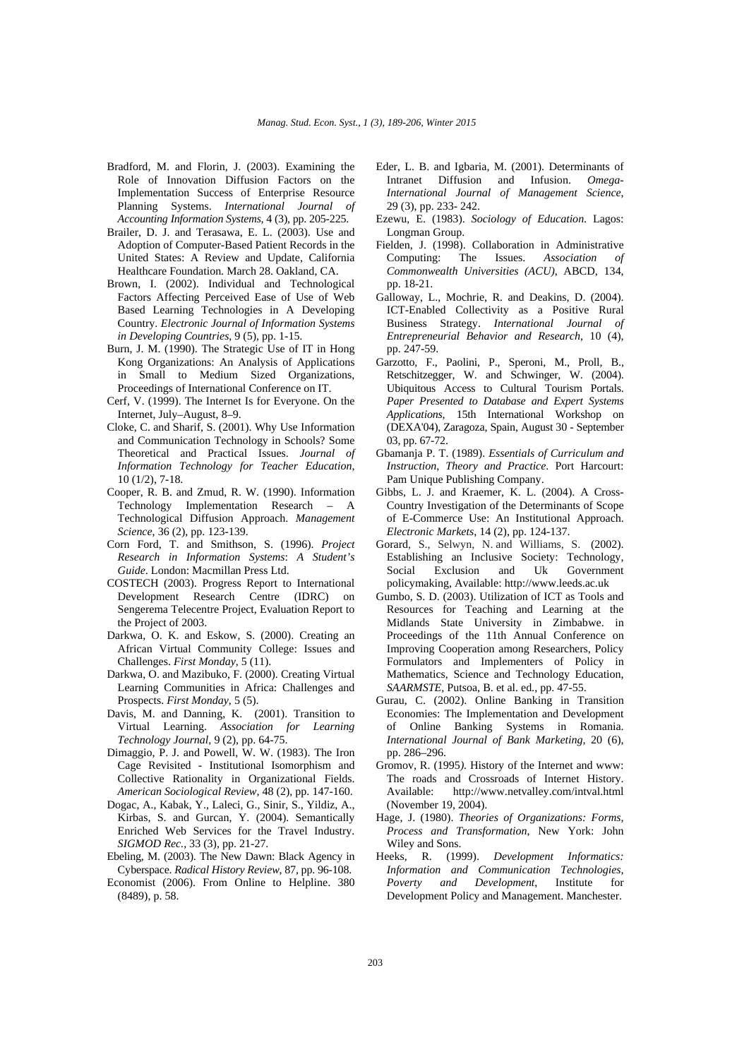- Bradford, M. and Florin, J. (2003). Examining the Role of Innovation Diffusion Factors on the Implementation Success of Enterprise Resource Planning Systems. *International Journal of Accounting Information Systems*, 4 (3), pp. 205-225.
- Brailer, D. J. and Terasawa, E. L. (2003). Use and Adoption of Computer-Based Patient Records in the United States: A Review and Update, California Healthcare Foundation. March 28. Oakland, CA.
- Brown, I. (2002). Individual and Technological Factors Affecting Perceived Ease of Use of Web Based Learning Technologies in A Developing Country. *Electronic Journal of Information Systems in Developing Countries*, 9 (5), pp. 1-15.
- Burn, J. M. (1990). The Strategic Use of IT in Hong Kong Organizations: An Analysis of Applications in Small to Medium Sized Organizations, Proceedings of International Conference on IT.
- Cerf, V. (1999). The Internet Is for Everyone. On the Internet, July–August, 8–9.
- Cloke, C. and Sharif, S. (2001). Why Use Information and Communication Technology in Schools? Some Theoretical and Practical Issues. *Journal of Information Technology for Teacher Education*, 10 (1/2), 7-18.
- Cooper, R. B. and Zmud, R. W. (1990). Information Technology Implementation Research – A Technological Diffusion Approach. *Management Science*, 36 (2), pp. 123-139.
- Corn Ford, T. and Smithson, S. (1996). *Project Research in Information Systems*: *A Student's Guide*. London: Macmillan Press Ltd.
- COSTECH (2003). Progress Report to International Development Research Centre (IDRC) on Sengerema Telecentre Project, Evaluation Report to the Project of 2003.
- Darkwa, O. K. and Eskow, S. (2000). Creating an African Virtual Community College: Issues and Challenges. *First Monday*, 5 (11).
- Darkwa, O. and Mazibuko, F. (2000). Creating Virtual Learning Communities in Africa: Challenges and Prospects. *First Monday*, 5 (5).
- Davis, M. and Danning, K. (2001). Transition to Virtual Learning. *Association for Learning Technology Journal*, 9 (2), pp. 64-75.
- Dimaggio, P. J. and Powell, W. W. (1983). The Iron Cage Revisited - Institutional Isomorphism and Collective Rationality in Organizational Fields. *American Sociological Review*, 48 (2), pp. 147-160.
- Dogac, A., Kabak, Y., Laleci, G., Sinir, S., Yildiz, A., Kirbas, S. and Gurcan, Y. (2004). Semantically Enriched Web Services for the Travel Industry. *SIGMOD Rec.*, 33 (3), pp. 21-27.
- Ebeling, M. (2003). The New Dawn: Black Agency in Cyberspace. *Radical History Review*, 87, pp. 96-108.
- Economist (2006). From Online to Helpline. 380 (8489), p. 58.
- Eder, L. B. and Igbaria, M. (2001). Determinants of Intranet Diffusion and Infusion. *Omega-International Journal of Management Science*, 29 (3), pp. 233- 242.
- Ezewu, E. (1983). *Sociology of Education*. Lagos: Longman Group.
- Fielden, J. (1998). Collaboration in Administrative Computing: The Issues. *Association of Commonwealth Universities (ACU)*, ABCD, 134, pp. 18-21.
- Galloway, L., Mochrie, R. and Deakins, D. (2004). ICT-Enabled Collectivity as a Positive Rural Business Strategy. *International Journal of Entrepreneurial Behavior and Research*, 10 (4), pp. 247-59.
- Garzotto, F., Paolini, P., Speroni, M., Proll, B., Retschitzegger, W. and Schwinger, W. (2004). Ubiquitous Access to Cultural Tourism Portals. *Paper Presented to Database and Expert Systems Applications*, 15th International Workshop on (DEXA'04), Zaragoza, Spain, August 30 - September 03, pp. 67-72.
- Gbamanja P. T. (1989). *Essentials of Curriculum and Instruction*, *Theory and Practice*. Port Harcourt: Pam Unique Publishing Company.
- Gibbs, L. J. and Kraemer, K. L. (2004). A Cross-Country Investigation of the Determinants of Scope of E-Commerce Use: An Institutional Approach. *Electronic Markets*, 14 (2), pp. 124-137.
- Gorard, S., Selwyn, N. and Williams, S. (2002). Establishing an Inclusive Society: Technology, Social Exclusion and Uk Government policymaking, Available: http://www.leeds.ac.uk
- Gumbo, S. D. (2003). Utilization of ICT as Tools and Resources for Teaching and Learning at the Midlands State University in Zimbabwe. in Proceedings of the 11th Annual Conference on Improving Cooperation among Researchers, Policy Formulators and Implementers of Policy in Mathematics, Science and Technology Education, *SAARMSTE*, Putsoa, B. et al. ed., pp. 47-55.
- Gurau, C. (2002). Online Banking in Transition Economies: The Implementation and Development of Online Banking Systems in Romania. *International Journal of Bank Marketing*, 20 (6), pp. 286–296.
- Gromov, R. (1995*).* History of the Internet and www: The roads and Crossroads of Internet History. Available: http://www.netvalley.com/intval.html (November 19, 2004).
- Hage, J. (1980). *Theories of Organizations: Forms*, *Process and Transformation*, New York: John Wiley and Sons.
- Heeks, R. (1999). *Development Informatics: Information and Communication Technologies, Poverty and Development*, Institute for Development Policy and Management. Manchester.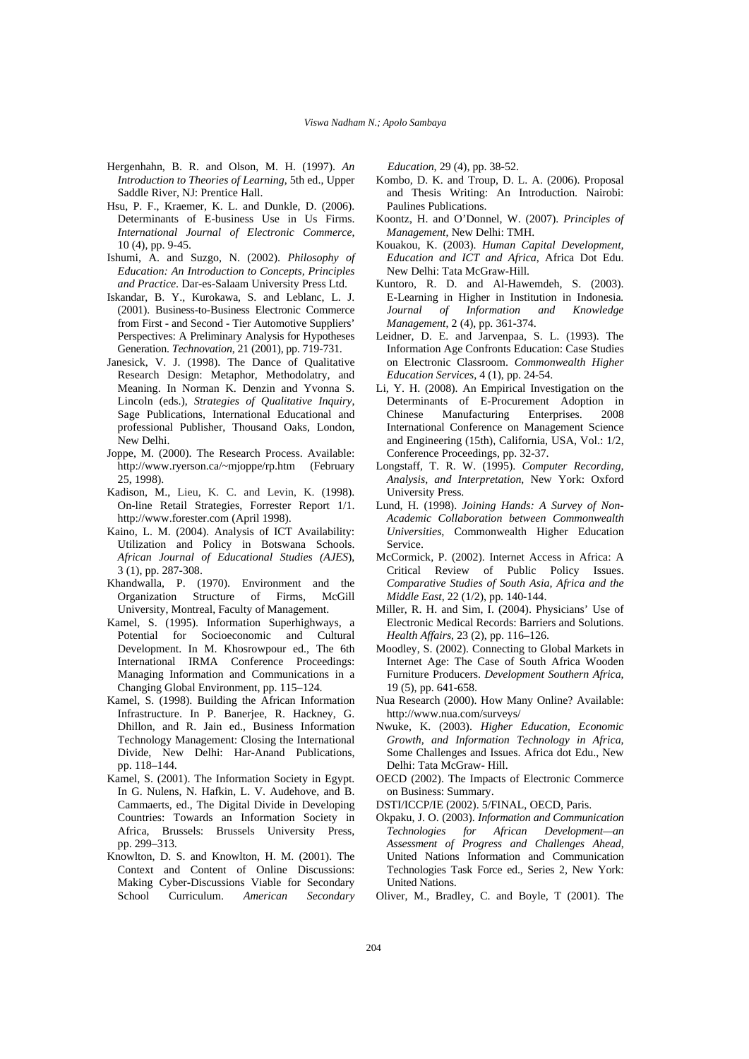- Hergenhahn, B. R. and Olson, M. H. (1997). *An Introduction to Theories of Learning*, 5th ed., Upper Saddle River, NJ: Prentice Hall.
- Hsu, P. F., Kraemer, K. L. and Dunkle, D. (2006). Determinants of E-business Use in Us Firms. *International Journal of Electronic Commerce*, 10 (4), pp. 9-45.
- Ishumi, A. and Suzgo, N. (2002). *Philosophy of Education: An Introduction to Concepts, Principles and Practice*. Dar-es-Salaam University Press Ltd.
- Iskandar, B. Y., Kurokawa, S. and Leblanc, L. J. (2001). Business-to-Business Electronic Commerce from First - and Second - Tier Automotive Suppliers' Perspectives: A Preliminary Analysis for Hypotheses Generation. *Technovation*, 21 (2001), pp. 719-731.
- Janesick, V. J. (1998). The Dance of Qualitative Research Design: Metaphor, Methodolatry, and Meaning. In Norman K. Denzin and Yvonna S. Lincoln (eds.), *Strategies of Qualitative Inquiry*, Sage Publications, International Educational and professional Publisher, Thousand Oaks, London, New Delhi.
- Joppe, M. (2000). The Research Process. Available: http://www.ryerson.ca/~mjoppe/rp.htm (February 25, 1998).
- Kadison, M., Lieu, K. C. and Levin, K. (1998). On-line Retail Strategies, Forrester Report 1/1. http://www.forester.com (April 1998).
- Kaino, L. M. (2004). Analysis of ICT Availability: Utilization and Policy in Botswana Schools. *African Journal of Educational Studies (AJES*), 3 (1), pp. 287-308.
- Khandwalla, P. (1970). Environment and the Organization Structure of Firms, McGill University, Montreal, Faculty of Management.
- Kamel, S. (1995). Information Superhighways, a Potential for Socioeconomic and Cultural Development. In M. Khosrowpour ed., The 6th International IRMA Conference Proceedings: Managing Information and Communications in a Changing Global Environment, pp. 115–124.
- Kamel, S. (1998). Building the African Information Infrastructure. In P. Banerjee, R. Hackney, G. Dhillon, and R. Jain ed., Business Information Technology Management: Closing the International Divide, New Delhi: Har-Anand Publications, pp. 118–144.
- Kamel, S. (2001). The Information Society in Egypt. In G. Nulens, N. Hafkin, L. V. Audehove, and B. Cammaerts, ed., The Digital Divide in Developing Countries: Towards an Information Society in Africa, Brussels: Brussels University Press, pp. 299–313.
- Knowlton, D. S. and Knowlton, H. M. (2001). The Context and Content of Online Discussions: Making Cyber-Discussions Viable for Secondary School Curriculum. *American Secondary*

*Education*, 29 (4), pp. 38-52.

- Kombo, D. K. and Troup, D. L. A. (2006). Proposal and Thesis Writing: An Introduction. Nairobi: Paulines Publications.
- Koontz, H. and O'Donnel, W. (2007). *Principles of Management*, New Delhi: TMH.
- Kouakou, K. (2003). *Human Capital Development, Education and ICT and Africa*, Africa Dot Edu. New Delhi: Tata McGraw-Hill.
- Kuntoro, R. D. and Al-Hawemdeh, S. (2003). E-Learning in Higher in Institution in Indonesia*. Journal of Information and Knowledge Management*, 2 (4), pp. 361-374.
- Leidner, D. E. and Jarvenpaa, S. L. (1993). The Information Age Confronts Education: Case Studies on Electronic Classroom. *Commonwealth Higher Education Services*, 4 (1), pp. 24-54.
- Li, Y. H. (2008). An Empirical Investigation on the Determinants of E-Procurement Adoption in Chinese Manufacturing Enterprises. 2008 International Conference on Management Science and Engineering (15th), California, USA, Vol.: 1/2, Conference Proceedings, pp. 32-37.
- Longstaff, T. R. W. (1995). *Computer Recording, Analysis, and Interpretation*, New York: Oxford University Press.
- Lund, H. (1998). *Joining Hands: A Survey of Non-Academic Collaboration between Commonwealth Universities*, Commonwealth Higher Education Service.
- McCormick, P. (2002). Internet Access in Africa: A Critical Review of Public Policy Issues. *Comparative Studies of South Asia, Africa and the Middle East*, 22 (1/2), pp. 140-144.
- Miller, R. H. and Sim, I. (2004). Physicians' Use of Electronic Medical Records: Barriers and Solutions. *Health Affairs*, 23 (2), pp. 116–126.
- Moodley, S. (2002). Connecting to Global Markets in Internet Age: The Case of South Africa Wooden Furniture Producers. *Development Southern Africa*, 19 (5), pp. 641-658.
- Nua Research (2000). How Many Online? Available: http://www.nua.com/surveys/
- Nwuke, K. (2003). *Higher Education, Economic Growth, and Information Technology in Africa*, Some Challenges and Issues. Africa dot Edu., New Delhi: Tata McGraw- Hill.
- OECD (2002). The Impacts of Electronic Commerce on Business: Summary.
- DSTI/ICCP/IE (2002). 5/FINAL, OECD, Paris.
- Okpaku, J. O. (2003). *Information and Communication Technologies for African Development—an Assessment of Progress and Challenges Ahead*, United Nations Information and Communication Technologies Task Force ed., Series 2, New York: United Nations.
- Oliver, M., Bradley, C. and Boyle, T (2001). The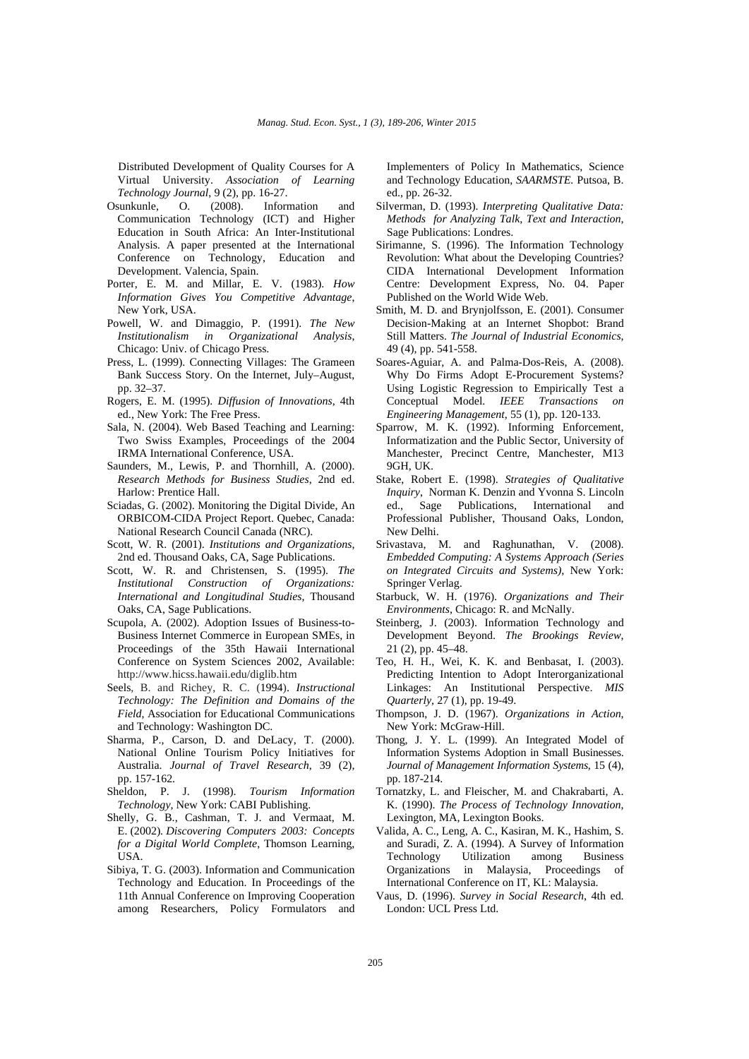Distributed Development of Quality Courses for A Virtual University. *Association of Learning Technology Journal*, 9 (2), pp. 16-27.<br>Osunkunle. O. (2008). Inform

- O. (2008). Information and Communication Technology (ICT) and Higher Education in South Africa: An Inter-Institutional Analysis. A paper presented at the International Conference on Technology, Education and Development. Valencia, Spain.
- Porter, E. M. and Millar, E. V. (1983). *How Information Gives You Competitive Advantage*, New York, USA.
- Powell, W. and Dimaggio, P. (1991). *The New Institutionalism in Organizational Analysis*, Chicago: Univ. of Chicago Press.
- Press, L. (1999). Connecting Villages: The Grameen Bank Success Story. On the Internet, July–August, pp. 32–37.
- Rogers, E. M. (1995). *Diffusion of Innovations*, 4th ed., New York: The Free Press.
- Sala, N. (2004). Web Based Teaching and Learning: Two Swiss Examples, Proceedings of the 2004 IRMA International Conference, USA.
- Saunders, M., Lewis, P. and Thornhill, A. (2000). *Research Methods for Business Studies*, 2nd ed. Harlow: Prentice Hall.
- Sciadas, G. (2002). Monitoring the Digital Divide, An ORBICOM-CIDA Project Report. Quebec, Canada: National Research Council Canada (NRC).
- Scott, W. R. (2001). *Institutions and Organizations*, 2nd ed. Thousand Oaks, CA, Sage Publications.
- Scott, W. R. and Christensen, S. (1995). *The Institutional Construction of Organizations: International and Longitudinal Studies*, Thousand Oaks, CA, Sage Publications.
- Scupola, A. (2002). Adoption Issues of Business-to-Business Internet Commerce in European SMEs, in Proceedings of the 35th Hawaii International Conference on System Sciences 2002, Available: http://www.hicss.hawaii.edu/diglib.htm
- Seels, B. and Richey, R. C. (1994). *Instructional Technology: The Definition and Domains of the Field*, Association for Educational Communications and Technology: Washington DC.
- Sharma, P., Carson, D. and DeLacy, T. (2000). National Online Tourism Policy Initiatives for Australia. *Journal of Travel Research*, 39 (2), pp. 157-162.
- Sheldon, P. J. (1998). *Tourism Information Technology*, New York: CABI Publishing.
- Shelly, G. B., Cashman, T. J. and Vermaat, M. E. (2002)*. Discovering Computers 2003: Concepts for a Digital World Complete*, Thomson Learning, USA.
- Sibiya, T. G. (2003). Information and Communication Technology and Education. In Proceedings of the 11th Annual Conference on Improving Cooperation among Researchers, Policy Formulators and

Implementers of Policy In Mathematics, Science and Technology Education, *SAARMSTE.* Putsoa, B. ed., pp. 26-32.

- Silverman, D. (1993). *Interpreting Qualitative Data: Methods for Analyzing Talk, Text and Interaction*, Sage Publications: Londres.
- Sirimanne, S. (1996). The Information Technology Revolution: What about the Developing Countries? CIDA International Development Information Centre: Development Express, No. 04. Paper Published on the World Wide Web.
- Smith, M. D. and Brynjolfsson, E. (2001). Consumer Decision-Making at an Internet Shopbot: Brand Still Matters. *The Journal of Industrial Economics*, 49 (4), pp. 541-558.
- Soares-Aguiar, A. and Palma-Dos-Reis, A. (2008). Why Do Firms Adopt E-Procurement Systems? Using Logistic Regression to Empirically Test a Conceptual Model. *IEEE Transactions on Engineering Management*, 55 (1), pp. 120-133.
- Sparrow, M. K. (1992). Informing Enforcement, Informatization and the Public Sector, University of Manchester, Precinct Centre, Manchester, M13 9GH, UK.
- Stake, Robert E. (1998). *Strategies of Qualitative Inquiry*, Norman K. Denzin and Yvonna S. Lincoln ed., Sage Publications, International and Professional Publisher, Thousand Oaks, London, New Delhi.
- Srivastava, M. and Raghunathan, V. (2008). *Embedded Computing: A Systems Approach (Series on Integrated Circuits and Systems)*, New York: Springer Verlag.
- Starbuck, W. H. (1976). *Organizations and Their Environments*, Chicago: R. and McNally.
- Steinberg, J. (2003). Information Technology and Development Beyond. *The Brookings Review*, 21 (2), pp. 45–48.
- Teo, H. H., Wei, K. K. and Benbasat, I. (2003). Predicting Intention to Adopt Interorganizational Linkages: An Institutional Perspective. *MIS Quarterly*, 27 (1), pp. 19-49.
- Thompson, J. D. (1967). *Organizations in Action*, New York: McGraw-Hill.
- Thong, J. Y. L. (1999). An Integrated Model of Information Systems Adoption in Small Businesses. *Journal of Management Information Systems*, 15 (4), pp. 187-214.
- Tornatzky, L. and Fleischer, M. and Chakrabarti, A. K. (1990). *The Process of Technology Innovation*, Lexington, MA, Lexington Books.
- Valida, A. C., Leng, A. C., Kasiran, M. K., Hashim, S. and Suradi, Z. A. (1994). A Survey of Information Technology Utilization among Business Organizations in Malaysia, Proceedings of International Conference on IT, KL: Malaysia.
- Vaus, D. (1996). *Survey in Social Research*, 4th ed. London: UCL Press Ltd.